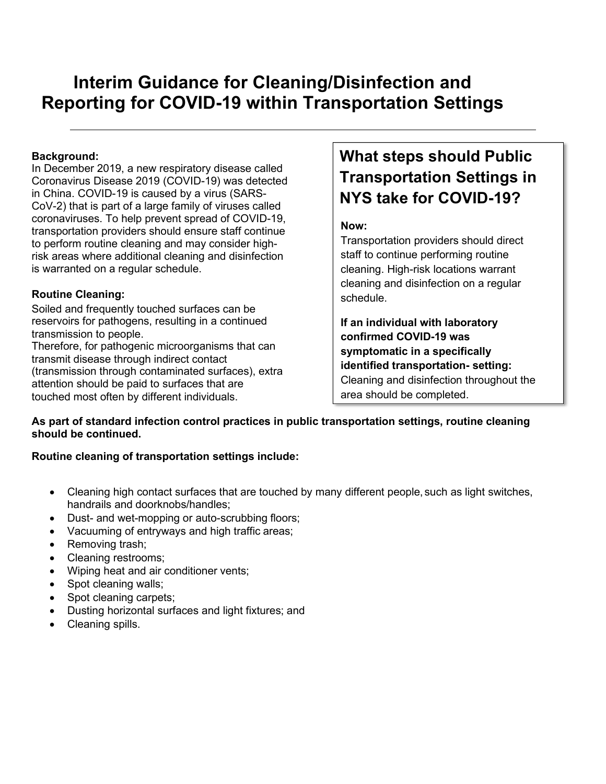# **Interim Guidance for Cleaning/Disinfection and Reporting for COVID-19 within Transportation Settings**

### **Background:**

In December 2019, a new respiratory disease called Coronavirus Disease 2019 (COVID-19) was detected in China. COVID-19 is caused by a virus (SARS-CoV-2) that is part of a large family of viruses called coronaviruses. To help prevent spread of COVID-19, transportation providers should ensure staff continue to perform routine cleaning and may consider highrisk areas where additional cleaning and disinfection is warranted on a regular schedule.

### **Routine Cleaning:**

Soiled and frequently touched surfaces can be reservoirs for pathogens, resulting in a continued transmission to people.

Therefore, for pathogenic microorganisms that can transmit disease through indirect contact (transmission through contaminated surfaces), extra attention should be paid to surfaces that are touched most often by different individuals.

## **What steps should Public Transportation Settings in NYS take for COVID-19?**

## **Now:**

Transportation providers should direct staff to continue performing routine cleaning. High-risk locations warrant cleaning and disinfection on a regular schedule.

**If an individual with laboratory confirmed COVID-19 was symptomatic in a specifically identified transportation- setting:** Cleaning and disinfection throughout the area should be completed.

**As part of standard infection control practices in public transportation settings, routine cleaning should be continued.**

## **Routine cleaning of transportation settings include:**

- Cleaning high contact surfaces that are touched by many different people, such as light switches, handrails and doorknobs/handles;
- Dust- and wet-mopping or auto-scrubbing floors;
- Vacuuming of entryways and high traffic areas;
- Removing trash;
- Cleaning restrooms;
- Wiping heat and air conditioner vents;
- Spot cleaning walls;
- Spot cleaning carpets;
- Dusting horizontal surfaces and light fixtures; and
- Cleaning spills.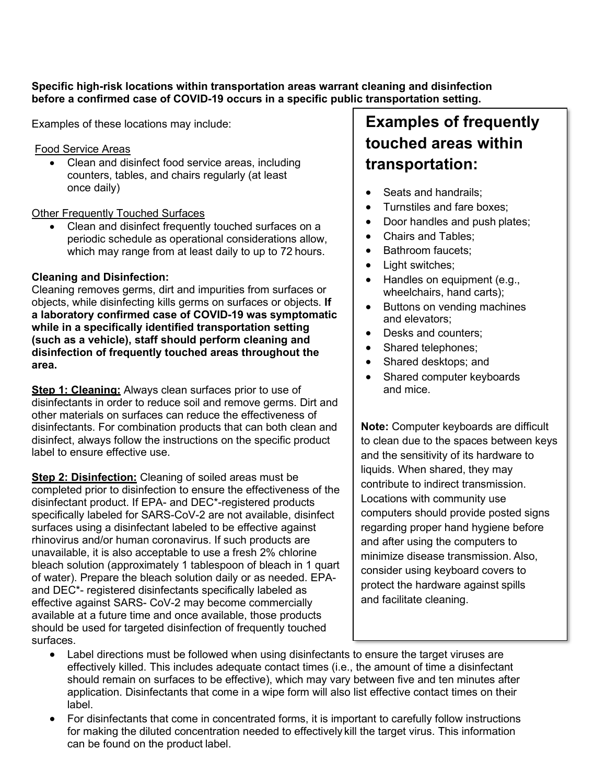**Specific high-risk locations within transportation areas warrant cleaning and disinfection before a confirmed case of COVID-19 occurs in a specific public transportation setting.**

Examples of these locations may include:

#### Food Service Areas

• Clean and disinfect food service areas, including counters, tables, and chairs regularly (at least once daily)

#### Other Frequently Touched Surfaces

• Clean and disinfect frequently touched surfaces on a periodic schedule as operational considerations allow, which may range from at least daily to up to 72 hours.

## **Cleaning and Disinfection:**

Cleaning removes germs, dirt and impurities from surfaces or objects, while disinfecting kills germs on surfaces or objects. **If a laboratory confirmed case of COVID-19 was symptomatic while in a specifically identified transportation setting (such as a vehicle), staff should perform cleaning and disinfection of frequently touched areas throughout the area.**

**Step 1: Cleaning:** Always clean surfaces prior to use of disinfectants in order to reduce soil and remove germs. Dirt and other materials on surfaces can reduce the effectiveness of disinfectants. For combination products that can both clean and disinfect, always follow the instructions on the specific product label to ensure effective use.

**Step 2: Disinfection:** Cleaning of soiled areas must be completed prior to disinfection to ensure the effectiveness of the disinfectant product. If EPA- and DEC\*-registered products specifically labeled for SARS-CoV-2 are not available, disinfect surfaces using a disinfectant labeled to be effective against rhinovirus and/or human coronavirus. If such products are unavailable, it is also acceptable to use a fresh 2% chlorine bleach solution (approximately 1 tablespoon of bleach in 1 quart of water). Prepare the bleach solution daily or as needed. EPAand DEC\*- registered disinfectants specifically labeled as effective against SARS- CoV-2 may become commercially available at a future time and once available, those products should be used for targeted disinfection of frequently touched surfaces.

## **Examples of frequently touched areas within transportation:**

- Seats and handrails;
- Turnstiles and fare boxes;
- Door handles and push plates;
- Chairs and Tables;
- Bathroom faucets;
- Light switches;
- Handles on equipment (e.g., wheelchairs, hand carts);
- Buttons on vending machines and elevators;
- Desks and counters:
- Shared telephones;
- Shared desktops; and
- Shared computer keyboards and mice.

**Note:** Computer keyboards are difficult to clean due to the spaces between keys and the sensitivity of its hardware to liquids. When shared, they may contribute to indirect transmission. Locations with community use computers should provide posted signs regarding proper hand hygiene before and after using the computers to minimize disease transmission. Also, consider using keyboard covers to protect the hardware against spills and facilitate cleaning.

- Label directions must be followed when using disinfectants to ensure the target viruses are effectively killed. This includes adequate contact times (i.e., the amount of time a disinfectant should remain on surfaces to be effective), which may vary between five and ten minutes after application. Disinfectants that come in a wipe form will also list effective contact times on their label.
- For disinfectants that come in concentrated forms, it is important to carefully follow instructions for making the diluted concentration needed to effectively kill the target virus. This information can be found on the product label.